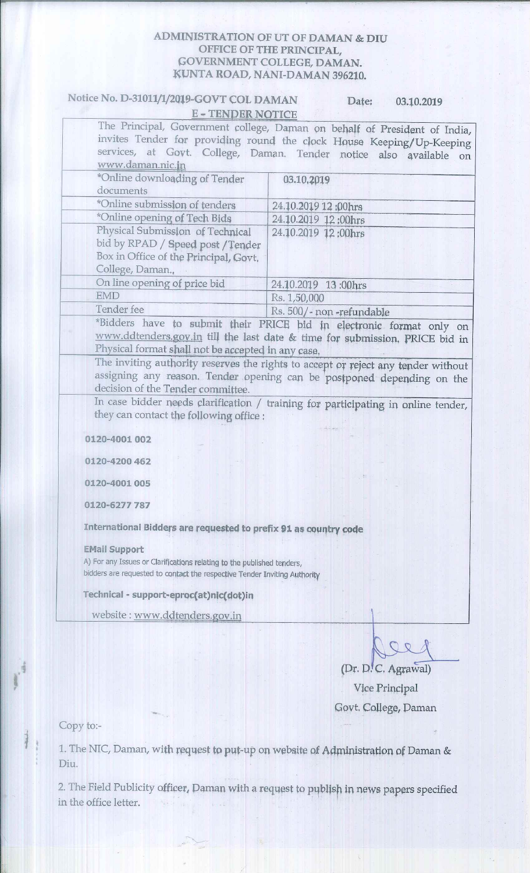#### **ADMINISTRATION OF UT OF DAMAN & DIU** OFFICE OF THE PRINCIPAL, **GOVERNMENT COLLEGE, DAMAN.** KUNTA ROAD, NANI-DAMAN 396210.

#### Notice No. D-31011/1/2019-GOVT COL DAMAN Date: 03.10.2019 **E-TENDER NOTICE**

| www.daman.nic.jn                                                                                                                   | The Principal, Government college, Daman on behalf of President of India,<br>invites Tender for providing round the clock House Keeping/Up-Keeping<br>services, at Govt. College, Daman. Tender notice also available on |
|------------------------------------------------------------------------------------------------------------------------------------|--------------------------------------------------------------------------------------------------------------------------------------------------------------------------------------------------------------------------|
| *Online downloading of Tender<br>documents                                                                                         | 03.10,2019                                                                                                                                                                                                               |
| *Online submission of tenders                                                                                                      | 24.10.2019 12:00hrs                                                                                                                                                                                                      |
| *Online opening of Tech Bids                                                                                                       | 24.10.2019 12:00hrs                                                                                                                                                                                                      |
| Physical Submission of Technical<br>bid by RPAD / Speed post / Tender<br>Box in Office of the Principal, Govt.<br>College, Daman., | 24.10.2019 12:00hrs                                                                                                                                                                                                      |
| On line opening of price bid                                                                                                       | 24.10.2019 13:00hrs                                                                                                                                                                                                      |
| <b>EMD</b>                                                                                                                         | Rs. 1,50,000                                                                                                                                                                                                             |
| Tender fee                                                                                                                         | Rs. 500/- non-refundable                                                                                                                                                                                                 |
| Physical format shall not be accepted in any case,                                                                                 | *Bidders have to submit their PRICE bid in electronic format only on<br>www.ddtenders.gov.in till the last date & time for submission. PRICE bid in                                                                      |
| decision of the Tender committee.                                                                                                  | The inviting authority reserves the rights to accept or reject any tender without<br>assigning any reason. Tender opening can be postponed depending on the                                                              |
| they can contact the following office :                                                                                            | In case bidder needs clarification / training for participating in online tender,                                                                                                                                        |
| 0120-4001 002                                                                                                                      |                                                                                                                                                                                                                          |
| 0120-4200 462                                                                                                                      |                                                                                                                                                                                                                          |
| 0120-4001 005                                                                                                                      |                                                                                                                                                                                                                          |
| 0120-6277 787                                                                                                                      |                                                                                                                                                                                                                          |

International Bidders are requested to prefix 91 as country code

#### **EMail Support**

A) For any Issues or Clarifications relating to the published tenders, bidders are requested to contact the respective Tender Inviting Authority

#### Technical - support-eproc(at)nic(dot)in

website: www.ddtenders.gov.in

(Dr. D. C. Agrawal) Vice Principal Govt. College, Daman

Copy to:-

1. The NIC, Daman, with request to put-up on website of Administration of Daman & Diu.

2. The Field Publicity officer, Daman with a request to publish in news papers specified in the office letter.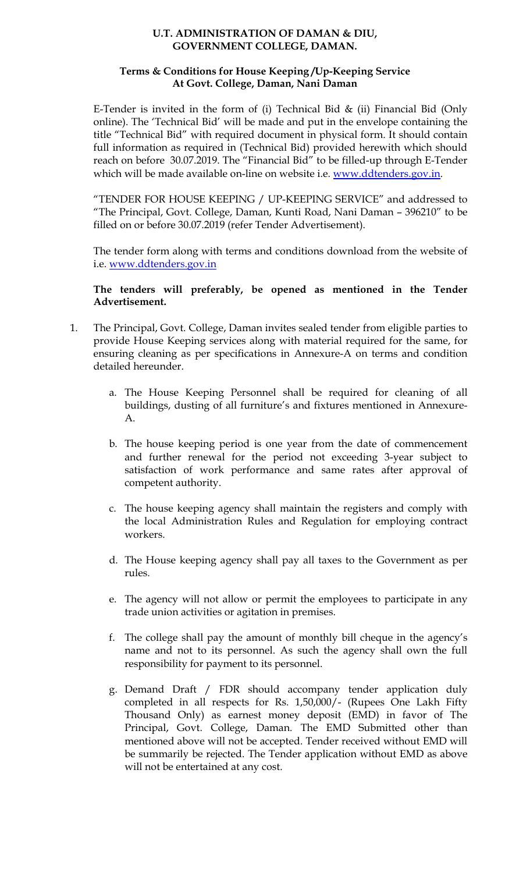#### **U.T. ADMINISTRATION OF DAMAN & DIU, GOVERNMENT COLLEGE, DAMAN.**

#### **Terms & Conditions for House Keeping /Up-Keeping Service At Govt. College, Daman, Nani Daman**

E-Tender is invited in the form of (i) Technical Bid  $\&$  (ii) Financial Bid (Only online). The 'Technical Bid' will be made and put in the envelope containing the title "Technical Bid" with required document in physical form. It should contain full information as required in (Technical Bid) provided herewith which should reach on before 30.07.2019. The "Financial Bid" to be filled-up through E-Tender which will be made available on-line on website i.e. [www.ddtenders.gov.in.](http://www.ddtenders.gov.in/)

"TENDER FOR HOUSE KEEPING / UP-KEEPING SERVICE" and addressed to "The Principal, Govt. College, Daman, Kunti Road, Nani Daman – 396210" to be filled on or before 30.07.2019 (refer Tender Advertisement).

The tender form along with terms and conditions download from the website of i.e. [www.ddtenders.gov.in](http://www.ddtenders.gov.in/)

#### **The tenders will preferably, be opened as mentioned in the Tender Advertisement.**

- 1. The Principal, Govt. College, Daman invites sealed tender from eligible parties to provide House Keeping services along with material required for the same, for ensuring cleaning as per specifications in Annexure-A on terms and condition detailed hereunder.
	- a. The House Keeping Personnel shall be required for cleaning of all buildings, dusting of all furniture's and fixtures mentioned in Annexure-A.
	- b. The house keeping period is one year from the date of commencement and further renewal for the period not exceeding 3-year subject to satisfaction of work performance and same rates after approval of competent authority.
	- c. The house keeping agency shall maintain the registers and comply with the local Administration Rules and Regulation for employing contract workers.
	- d. The House keeping agency shall pay all taxes to the Government as per rules.
	- e. The agency will not allow or permit the employees to participate in any trade union activities or agitation in premises.
	- f. The college shall pay the amount of monthly bill cheque in the agency's name and not to its personnel. As such the agency shall own the full responsibility for payment to its personnel.
	- g. Demand Draft / FDR should accompany tender application duly completed in all respects for Rs. 1,50,000/- (Rupees One Lakh Fifty Thousand Only) as earnest money deposit (EMD) in favor of The Principal, Govt. College, Daman. The EMD Submitted other than mentioned above will not be accepted. Tender received without EMD will be summarily be rejected. The Tender application without EMD as above will not be entertained at any cost.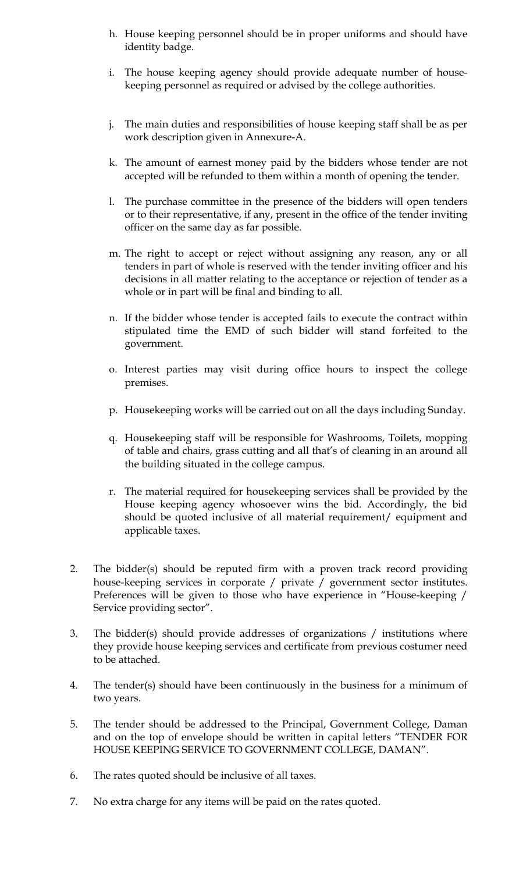- h. House keeping personnel should be in proper uniforms and should have identity badge.
- i. The house keeping agency should provide adequate number of housekeeping personnel as required or advised by the college authorities.
- j. The main duties and responsibilities of house keeping staff shall be as per work description given in Annexure-A.
- k. The amount of earnest money paid by the bidders whose tender are not accepted will be refunded to them within a month of opening the tender.
- l. The purchase committee in the presence of the bidders will open tenders or to their representative, if any, present in the office of the tender inviting officer on the same day as far possible.
- m. The right to accept or reject without assigning any reason, any or all tenders in part of whole is reserved with the tender inviting officer and his decisions in all matter relating to the acceptance or rejection of tender as a whole or in part will be final and binding to all.
- n. If the bidder whose tender is accepted fails to execute the contract within stipulated time the EMD of such bidder will stand forfeited to the government.
- o. Interest parties may visit during office hours to inspect the college premises.
- p. Housekeeping works will be carried out on all the days including Sunday.
- q. Housekeeping staff will be responsible for Washrooms, Toilets, mopping of table and chairs, grass cutting and all that's of cleaning in an around all the building situated in the college campus.
- r. The material required for housekeeping services shall be provided by the House keeping agency whosoever wins the bid. Accordingly, the bid should be quoted inclusive of all material requirement/ equipment and applicable taxes.
- 2. The bidder(s) should be reputed firm with a proven track record providing house-keeping services in corporate / private / government sector institutes. Preferences will be given to those who have experience in "House-keeping / Service providing sector".
- 3. The bidder(s) should provide addresses of organizations / institutions where they provide house keeping services and certificate from previous costumer need to be attached.
- 4. The tender(s) should have been continuously in the business for a minimum of two years.
- 5. The tender should be addressed to the Principal, Government College, Daman and on the top of envelope should be written in capital letters "TENDER FOR HOUSE KEEPING SERVICE TO GOVERNMENT COLLEGE, DAMAN".
- 6. The rates quoted should be inclusive of all taxes.
- 7. No extra charge for any items will be paid on the rates quoted.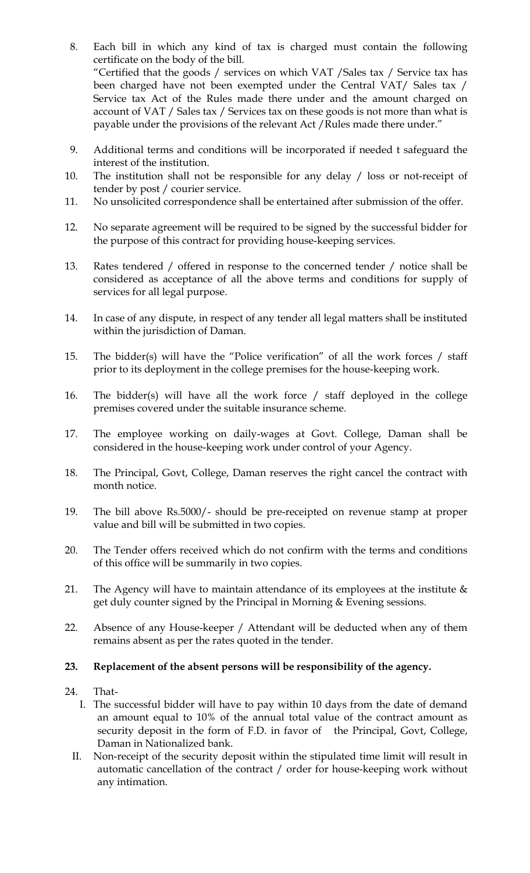- 8. Each bill in which any kind of tax is charged must contain the following certificate on the body of the bill. "Certified that the goods / services on which VAT /Sales tax / Service tax has been charged have not been exempted under the Central VAT/ Sales tax / Service tax Act of the Rules made there under and the amount charged on account of VAT / Sales tax / Services tax on these goods is not more than what is payable under the provisions of the relevant Act /Rules made there under."
- 9. Additional terms and conditions will be incorporated if needed t safeguard the interest of the institution.
- 10. The institution shall not be responsible for any delay / loss or not-receipt of tender by post / courier service.
- 11. No unsolicited correspondence shall be entertained after submission of the offer.
- 12. No separate agreement will be required to be signed by the successful bidder for the purpose of this contract for providing house-keeping services.
- 13. Rates tendered / offered in response to the concerned tender / notice shall be considered as acceptance of all the above terms and conditions for supply of services for all legal purpose.
- 14. In case of any dispute, in respect of any tender all legal matters shall be instituted within the jurisdiction of Daman.
- 15. The bidder(s) will have the "Police verification" of all the work forces / staff prior to its deployment in the college premises for the house-keeping work.
- 16. The bidder(s) will have all the work force / staff deployed in the college premises covered under the suitable insurance scheme.
- 17. The employee working on daily-wages at Govt. College, Daman shall be considered in the house-keeping work under control of your Agency.
- 18. The Principal, Govt, College, Daman reserves the right cancel the contract with month notice.
- 19. The bill above Rs.5000/- should be pre-receipted on revenue stamp at proper value and bill will be submitted in two copies.
- 20. The Tender offers received which do not confirm with the terms and conditions of this office will be summarily in two copies.
- 21. The Agency will have to maintain attendance of its employees at the institute  $\&$ get duly counter signed by the Principal in Morning & Evening sessions.
- 22. Absence of any House-keeper / Attendant will be deducted when any of them remains absent as per the rates quoted in the tender.

#### **23. Replacement of the absent persons will be responsibility of the agency.**

- 24. That-
	- I. The successful bidder will have to pay within 10 days from the date of demand an amount equal to 10% of the annual total value of the contract amount as security deposit in the form of F.D. in favor of the Principal, Govt, College, Daman in Nationalized bank.
	- II. Non-receipt of the security deposit within the stipulated time limit will result in automatic cancellation of the contract / order for house-keeping work without any intimation.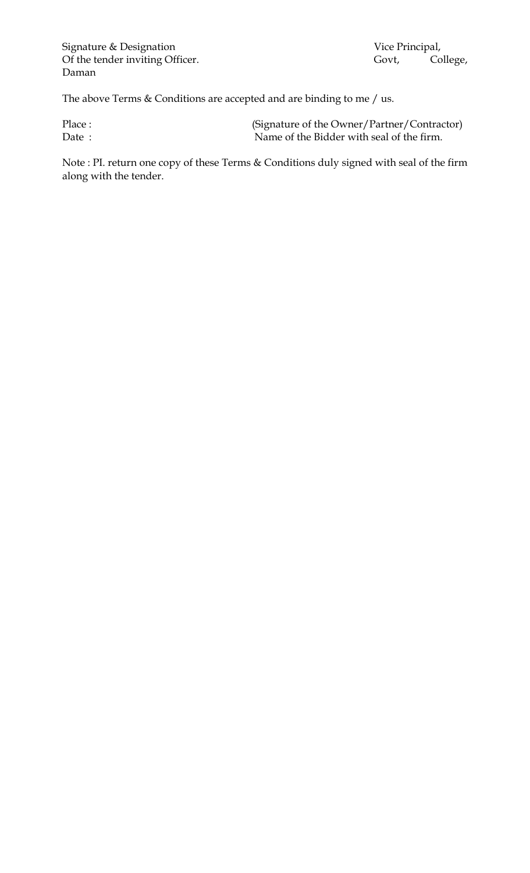The above Terms  $&$  Conditions are accepted and are binding to me  $/$  us.

| Place: | (Signature of the Owner/Partner/Contractor) |
|--------|---------------------------------------------|
| Date:  | Name of the Bidder with seal of the firm.   |

Note : PI. return one copy of these Terms & Conditions duly signed with seal of the firm along with the tender.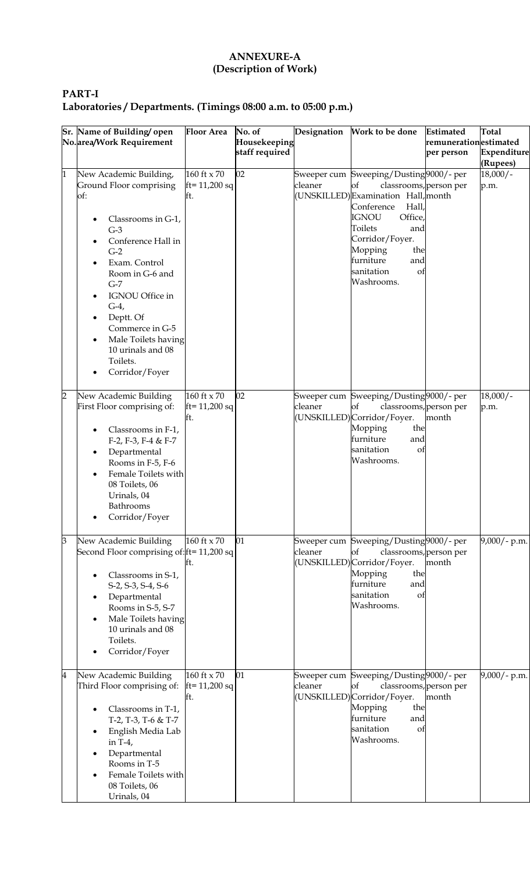## **ANNEXURE-A (Description of Work)**

# **PART-I Laboratories / Departments. (Timings 08:00 a.m. to 05:00 p.m.)**

|                | Sr. Name of Building open                                                                                                                                                                                                                                                                                                                                                         | <b>Floor Area</b>                                | No. of         | Designation | Work to be done                                                                                                                                                                                                                                                              | <b>Estimated</b>      | <b>Total</b>       |
|----------------|-----------------------------------------------------------------------------------------------------------------------------------------------------------------------------------------------------------------------------------------------------------------------------------------------------------------------------------------------------------------------------------|--------------------------------------------------|----------------|-------------|------------------------------------------------------------------------------------------------------------------------------------------------------------------------------------------------------------------------------------------------------------------------------|-----------------------|--------------------|
|                | No.area/Work Requirement                                                                                                                                                                                                                                                                                                                                                          |                                                  | Housekeeping   |             |                                                                                                                                                                                                                                                                              | remunerationestimated |                    |
|                |                                                                                                                                                                                                                                                                                                                                                                                   |                                                  | staff required |             |                                                                                                                                                                                                                                                                              | per person            | Expenditure        |
|                |                                                                                                                                                                                                                                                                                                                                                                                   |                                                  |                |             |                                                                                                                                                                                                                                                                              |                       | (Rupees)           |
| 1              | New Academic Building,<br>Ground Floor comprising<br>of:<br>Classrooms in G-1,<br>$G-3$<br>Conference Hall in<br>$\bullet$<br>$G-2$<br>Exam. Control<br>$\bullet$<br>Room in G-6 and<br>$G-7$<br>IGNOU Office in<br>$\bullet$<br>$G-4$ ,<br>Deptt. Of<br>٠<br>Commerce in G-5<br>Male Toilets having<br>$\bullet$<br>10 urinals and 08<br>Toilets.<br>Corridor/Foyer<br>$\bullet$ | $160$ ft $\times 70$<br>$ft = 11,200$ sq<br>Itt. | 02             | cleaner     | Sweeper cum Sweeping/Dusting 9000/- per<br>of<br>classrooms, person per<br>(UNSKILLED)Examination Hall, month<br>Conference<br>Hall,<br><b>IGNOU</b><br>Office,<br>Toilets<br>and<br>Corridor/Foyer.<br>Mopping<br>the<br>furniture<br>and<br>sanitation<br>of<br>Washrooms. |                       | $18,000/-$<br>p.m. |
| $\overline{2}$ | New Academic Building<br>First Floor comprising of:<br>Classrooms in F-1,<br>$\bullet$<br>F-2, F-3, F-4 & F-7<br>Departmental<br>$\bullet$<br>Rooms in F-5, F-6<br>Female Toilets with<br>$\bullet$<br>08 Toilets, 06<br>Urinals, 04<br>Bathrooms<br>Corridor/Foyer                                                                                                               | $160$ ft $\times 70$<br>$ft = 11,200 sq$<br>lft. | 02             | cleaner     | Sweeper cum Sweeping/Dusting 9000/- per<br>classrooms, person per<br>of<br>(UNSKILLED) Corridor/Foyer.<br>Mopping<br>the<br>furniture<br>and<br>sanitation<br>of<br>Washrooms.                                                                                               | month                 | $18,000/-$<br>p.m. |
| $\mathsf{B}$   | New Academic Building<br>Second Floor comprising of: ft= 11,200 sq<br>Classrooms in S-1,<br>S-2, S-3, S-4, S-6<br>Departmental<br>$\bullet$<br>Rooms in S-5, S-7<br>Male Toilets having<br>$\bullet$<br>10 urinals and 08<br>Toilets.<br>Corridor/Foyer                                                                                                                           | $160$ ft $\times 70$<br>Itt.                     | 01             | cleaner     | Sweeper cum Sweeping/Dusting9000/- per<br>classrooms, person per<br>of<br>(UNSKILLED) Corridor/Foyer.<br>Mopping<br>the<br>furniture<br>and<br>sanitation<br>of<br>Washrooms.                                                                                                | month                 | $9,000/-$ p.m.     |
| $\overline{4}$ | New Academic Building<br>Third Floor comprising of:<br>Classrooms in T-1,<br>Т-2, Т-3, Т-6 & Т-7<br>English Media Lab<br>$\bullet$<br>in $T-4$ ,<br>Departmental<br>$\bullet$<br>Rooms in T-5<br>Female Toilets with<br>$\bullet$<br>08 Toilets, 06<br>Urinals, 04                                                                                                                | $160$ ft $\times 70$<br>$ft = 11,200 sq$<br>Еt.  | 01             | cleaner     | Sweeper cum Sweeping/Dusting 9000/- per<br>of<br>classrooms, person per<br>(UNSKILLED) Corridor/Foyer.<br>Mopping<br>the<br>furniture<br>and<br>sanitation<br>of<br>Washrooms.                                                                                               | month                 | $9,000/$ - p.m.    |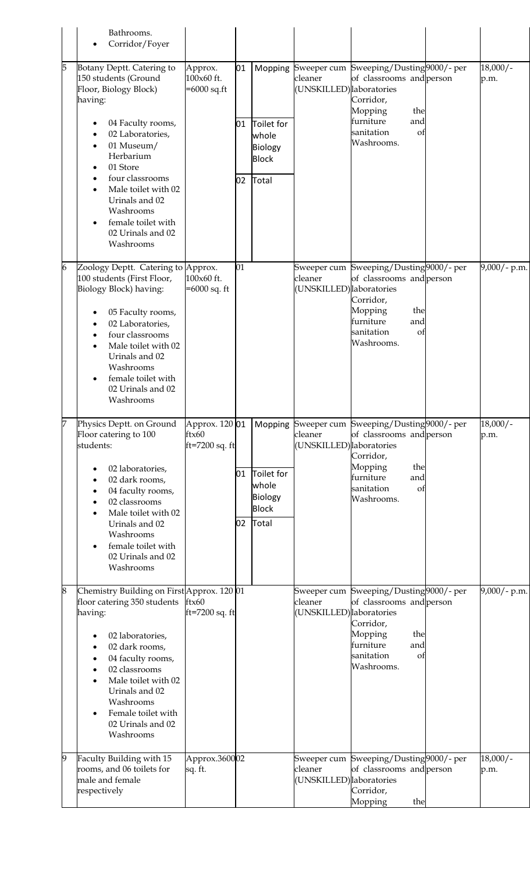|   | Bathrooms.<br>Corridor/Foyer                                                                                                                                                                                                                                                                           |                                               |                |                                                                    |                                     |                                                                                                                                                                  |                    |
|---|--------------------------------------------------------------------------------------------------------------------------------------------------------------------------------------------------------------------------------------------------------------------------------------------------------|-----------------------------------------------|----------------|--------------------------------------------------------------------|-------------------------------------|------------------------------------------------------------------------------------------------------------------------------------------------------------------|--------------------|
| 5 | Botany Deptt. Catering to<br>150 students (Ground<br>Floor, Biology Block)<br>having:<br>04 Faculty rooms,<br>02 Laboratories,<br>01 Museum/<br>Herbarium<br>01 Store<br>four classrooms<br>Male toilet with 02<br>Urinals and 02<br>Washrooms<br>female toilet with<br>02 Urinals and 02<br>Washrooms | Approx.<br>100x60 ft.<br>$=6000$ sq.ft        | 01<br>01<br>02 | Mopping<br>Toilet for<br>whole<br>Biology<br><b>Block</b><br>Total | cleaner<br>(UNSKILLED) laboratories | Sweeper cum Sweeping/Dusting 9000/- per<br>of classrooms and person<br>Corridor,<br>Mopping<br>the<br>furniture<br>and<br>sanitation<br>of<br>Washrooms.         | $18,000/-$<br>p.m. |
| 6 | Zoology Deptt. Catering to Approx.<br>100 students (First Floor,<br>Biology Block) having:<br>05 Faculty rooms,<br>02 Laboratories,<br>four classrooms<br>Male toilet with 02<br>Urinals and 02<br>Washrooms<br>female toilet with<br>02 Urinals and 02<br>Washrooms                                   | 100x60 ft.<br>$=6000$ sq. ft                  | 01             |                                                                    | cleaner<br>(UNSKILLED) laboratories | Sweeper cum Sweeping/Dusting9000/- per<br>of classrooms and person<br>Corridor,<br>Mopping<br>the<br>furniture<br>and<br>sanitation<br>οt<br>Washrooms.          | $9,000/$ - p.m.    |
|   | Physics Deptt. on Ground<br>Floor catering to 100<br>students:<br>02 laboratories,<br>02 dark rooms,<br>04 faculty rooms,<br>02 classrooms<br>Male toilet with 02<br>Urinals and 02<br>Washrooms<br>female toilet with<br>02 Urinals and 02<br>Washrooms                                               | Approx. 120 01<br>ftx60<br>$ft = 7200$ sq. ft | 01<br>02       | Toilet for<br>whole<br><b>Biology</b><br><b>Block</b><br>Total     | cleaner<br>(UNSKILLED) laboratories | Mopping Sweeper cum Sweeping/Dusting 9000/- per<br>of classrooms and person<br>Corridor,<br>Mopping<br>the<br>furniture<br>and<br>sanitation<br>of<br>Washrooms. | $18,000/-$<br>p.m. |
| 8 | Chemistry Building on First Approx. 120 01<br>floor catering 350 students<br>having:<br>02 laboratories,<br>02 dark rooms,<br>04 faculty rooms,<br>02 classrooms<br>Male toilet with 02<br>Urinals and 02<br>Washrooms<br>Female toilet with<br>02 Urinals and 02<br>Washrooms                         | ftx60<br>$ft = 7200$ sq. ft                   |                |                                                                    | cleaner<br>(UNSKILLED) laboratories | Sweeper cum Sweeping/Dusting9000/-per<br>of classrooms and person<br>Corridor,<br>Mopping<br>the<br>furniture<br>and<br>sanitation<br>of<br>Washrooms.           | $9,000/$ - p.m.    |
| 9 | Faculty Building with 15<br>rooms, and 06 toilets for<br>male and female<br>respectively                                                                                                                                                                                                               | Approx.360002<br>sq. ft.                      |                |                                                                    | cleaner<br>(UNSKILLED) laboratories | Sweeper cum Sweeping/Dusting9000/- per<br>of classrooms and person<br>Corridor,<br>Mopping<br>the                                                                | $18,000/-$<br>p.m. |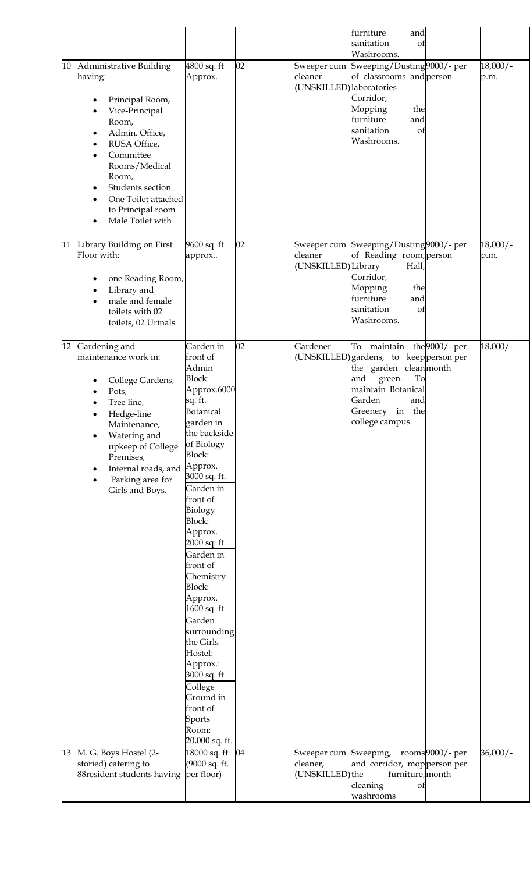| 10       | Administrative Building<br>having:<br>Principal Room,<br>Vice-Principal<br>Room,<br>Admin. Office,<br>$\bullet$<br>RUSA Office,<br>$\bullet$<br>Committee<br>Rooms/Medical<br>Room,<br>Students section<br>One Toilet attached<br>to Principal room<br>Male Toilet with | 4800 sq. ft<br>Approx.                                                                                                                                                                                                                                                                                                                                                                                                                                                                                                     | 02       | cleaner<br>(UNSKILLED) laboratories | furniture<br>and<br>sanitation<br>οt<br>Washrooms.<br>Sweeper cum Sweeping/Dusting9000/- per<br>of classrooms and person<br>Corridor,<br>Mopping<br>the<br>furniture<br>and<br>sanitation<br>of<br>Washrooms. |                 | $18,000/-$<br>p.m.       |
|----------|-------------------------------------------------------------------------------------------------------------------------------------------------------------------------------------------------------------------------------------------------------------------------|----------------------------------------------------------------------------------------------------------------------------------------------------------------------------------------------------------------------------------------------------------------------------------------------------------------------------------------------------------------------------------------------------------------------------------------------------------------------------------------------------------------------------|----------|-------------------------------------|---------------------------------------------------------------------------------------------------------------------------------------------------------------------------------------------------------------|-----------------|--------------------------|
| 11       | Library Building on First<br>Floor with:<br>one Reading Room,<br>Library and<br>male and female<br>toilets with 02<br>toilets, 02 Urinals                                                                                                                               | 9600 sq. ft.<br>approx                                                                                                                                                                                                                                                                                                                                                                                                                                                                                                     | 02       | cleaner<br>(UNSKILLED)Library       | Sweeper cum Sweeping/Dusting9000/- per<br>of Reading room, person<br>Hall,<br>Corridor,<br>Mopping<br>the<br>furniture<br>and<br>sanitation<br>of<br>Washrooms.                                               |                 | $18,000/-$<br>p.m.       |
| 12<br>13 | Gardening and<br>maintenance work in:<br>College Gardens,<br>Pots,<br>Tree line,<br>Hedge-line<br>Maintenance,<br>Watering and<br>upkeep of College<br>Premises,<br>Internal roads, and<br>Parking area for<br>Girls and Boys.<br>M. G. Boys Hostel (2-                 | Garden in<br>front of<br>Admin<br><b>Block:</b><br>Approx.6000<br>sq. ft.<br><b>Botanical</b><br>garden in<br>the backside<br>of Biology<br><b>Block:</b><br>Approx.<br>3000 sq. ft.<br>Garden in<br>front of<br>Biology<br><b>Block:</b><br>Approx.<br>2000 sq. ft.<br>Garden in<br>front of<br>Chemistry<br><b>Block:</b><br>Approx.<br>1600 sq. ft<br>Garden<br>surrounding<br>the Girls<br>Hostel:<br>Approx.:<br>3000 sq. ft<br>College<br>Ground in<br>front of<br>Sports<br>Room:<br>20,000 sq. ft.<br>18000 sq. ft | 02<br>04 | Gardener<br>Sweeper cum Sweeping,   | To maintain the 9000/- per<br>(UNSKILLED) gardens, to keep person per<br>the garden cleanmonth<br>and<br>green.<br>To<br>maintain Botanical<br>Garden<br>and<br>in the<br>Greenery<br>college campus.         | rooms9000/- per | $18,000/-$<br>$36,000/-$ |
|          | storied) catering to<br>88 resident students having                                                                                                                                                                                                                     | (9000 sq. ft.<br>per floor)                                                                                                                                                                                                                                                                                                                                                                                                                                                                                                |          | cleaner,<br>(UNSKILLED)the          | and corridor, mopperson per<br>furniture, month<br>cleaning<br>Оİ<br>washrooms                                                                                                                                |                 |                          |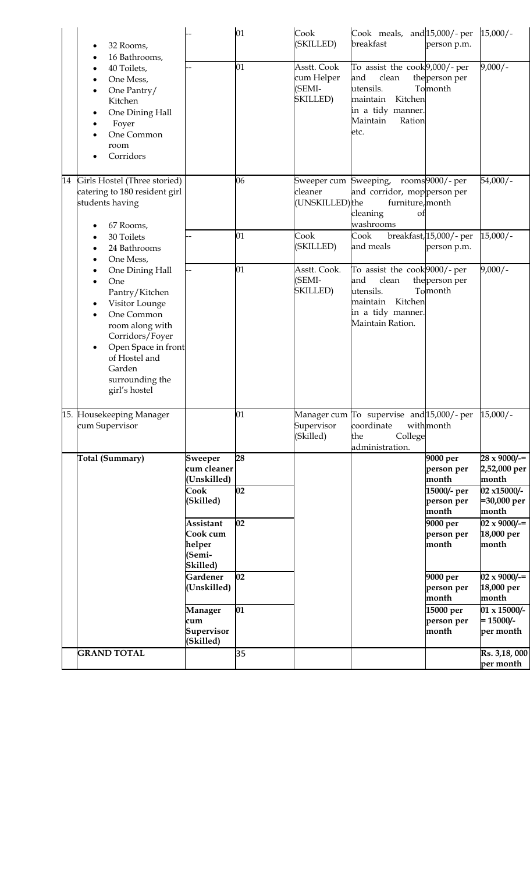|    | 32 Rooms,<br>16 Bathrooms,                                                                                                                                                                                        |                                                       | 01 | Cook<br>(SKILLED)                                      | Cook meals, and 15,000/- per<br>breakfast                                                                                             | person p.m.                            | $15,000/-$                                  |
|----|-------------------------------------------------------------------------------------------------------------------------------------------------------------------------------------------------------------------|-------------------------------------------------------|----|--------------------------------------------------------|---------------------------------------------------------------------------------------------------------------------------------------|----------------------------------------|---------------------------------------------|
|    | 40 Toilets,<br>One Mess,<br>One Pantry/<br>Kitchen<br>One Dining Hall<br>Foyer<br>One Common<br>room<br>Corridors                                                                                                 |                                                       | 01 | Asstt. Cook<br>cum Helper<br>(SEMI-<br><b>SKILLED)</b> | To assist the cook 9,000/- per<br>and<br>clean<br>utensils.<br>maintain<br>Kitchen<br>in a tidy manner.<br>Maintain<br>Ration<br>etc. | the person per<br>Tomonth              | $9,000/-$                                   |
| 14 | Girls Hostel (Three storied)<br>catering to 180 resident girl<br>students having<br>67 Rooms,                                                                                                                     |                                                       | 06 | cleaner<br>(UNSKILLED)the                              | Sweeper cum Sweeping, rooms9000/- per<br>and corridor, mopperson per<br>furniture, month<br>cleaning<br>Οf<br>washrooms               |                                        | $54,000/-$                                  |
|    | 30 Toilets<br>24 Bathrooms<br>One Mess,                                                                                                                                                                           |                                                       | 01 | Cook<br>(SKILLED)                                      | Cook<br>and meals                                                                                                                     | breakfast, 15,000/- per<br>person p.m. | $15,000/-$                                  |
|    | One Dining Hall<br>One<br>Pantry/Kitchen<br>Visitor Lounge<br>One Common<br>room along with<br>Corridors/Foyer<br>Open Space in front<br>$\bullet$<br>of Hostel and<br>Garden<br>surrounding the<br>girl's hostel |                                                       | 01 | Asstt. Cook.<br>(SEMI-<br><b>SKILLED)</b>              | To assist the cook 9000/- per<br>and<br>clean<br>utensils.<br>Kitchen<br>maintain<br>in a tidy manner.<br>Maintain Ration.            | the person per<br>Tomonth              | $9,000/-$                                   |
|    | 15. Housekeeping Manager<br>cum Supervisor                                                                                                                                                                        |                                                       | 01 | Supervisor<br>(Skilled)                                | Manager cum To supervise and 15,000/- per 15,000/-<br>coordinate<br>College<br>the<br>administration.                                 | withmonth                              |                                             |
|    | Total (Summary)                                                                                                                                                                                                   | <b>Sweeper</b><br>cum cleaner                         | 28 |                                                        |                                                                                                                                       | 9000 per<br>person per                 | $28 \times 9000/$ =<br>2,52,000 per         |
|    |                                                                                                                                                                                                                   | (Unskilled)                                           |    |                                                        |                                                                                                                                       | month                                  | month                                       |
|    |                                                                                                                                                                                                                   | Cook<br>(Skilled)                                     | 02 |                                                        |                                                                                                                                       | 15000/- per<br>person per<br>month     | 02 x15000/-<br>=30,000 per<br>month         |
|    |                                                                                                                                                                                                                   | Assistant<br>Cook cum<br>helper<br>(Semi-<br>Skilled) | 02 |                                                        |                                                                                                                                       | 9000 per<br>person per<br>month        | $02 \times 9000/$ -=<br>18,000 per<br>month |
|    |                                                                                                                                                                                                                   | Gardener<br>(Unskilled)                               | 02 |                                                        |                                                                                                                                       | 9000 per<br>person per<br>month        | $02 \times 9000/$ =<br>18,000 per<br>month  |
|    |                                                                                                                                                                                                                   | Manager<br>cum<br>Supervisor<br>(Skilled)             | 01 |                                                        |                                                                                                                                       | 15000 per<br>person per<br>month       | 01 x 15000/-<br>$= 15000/-$<br>per month    |
|    | $\overline{\text{GRAND TOTAL}}$                                                                                                                                                                                   |                                                       | 35 |                                                        |                                                                                                                                       |                                        | Rs. 3,18,000<br>per month                   |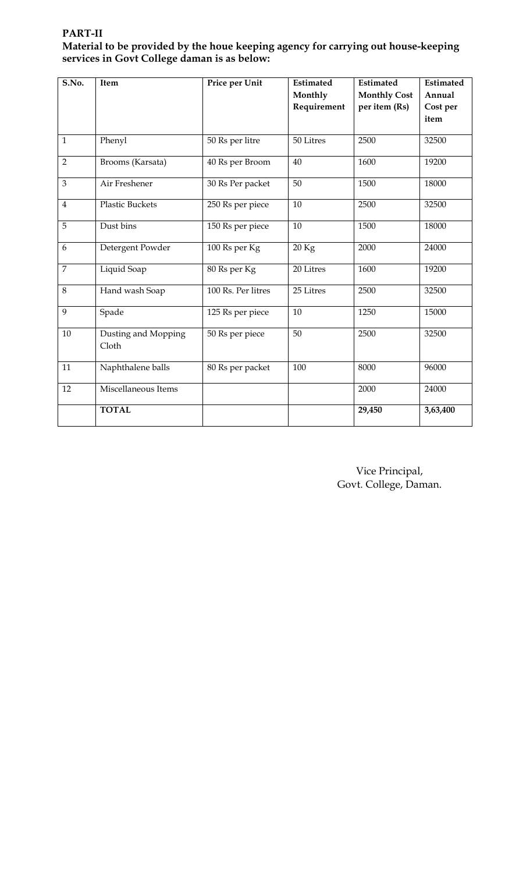**PART-II Material to be provided by the houe keeping agency for carrying out house-keeping services in Govt College daman is as below:**

| S.No.          | Item                   | Price per Unit     | Estimated   | Estimated           | Estimated |
|----------------|------------------------|--------------------|-------------|---------------------|-----------|
|                |                        |                    | Monthly     | <b>Monthly Cost</b> | Annual    |
|                |                        |                    | Requirement | per item (Rs)       | Cost per  |
|                |                        |                    |             |                     | item      |
|                |                        |                    |             |                     |           |
| $\mathbf{1}$   | Phenyl                 | 50 Rs per litre    | 50 Litres   | 2500                | 32500     |
| $\overline{2}$ | Brooms (Karsata)       | 40 Rs per Broom    | 40          | 1600                | 19200     |
| 3              | Air Freshener          | 30 Rs Per packet   | 50          | 1500                | 18000     |
| $\overline{4}$ | <b>Plastic Buckets</b> | 250 Rs per piece   | 10          | 2500                | 32500     |
| 5              | Dust bins              | 150 Rs per piece   | 10          | 1500                | 18000     |
| 6              | Detergent Powder       | 100 Rs per Kg      | 20 Kg       | 2000                | 24000     |
| $\overline{7}$ | Liquid Soap            | 80 Rs per Kg       | 20 Litres   | 1600                | 19200     |
| 8              | Hand wash Soap         | 100 Rs. Per litres | 25 Litres   | 2500                | 32500     |
| 9              | Spade                  | 125 Rs per piece   | 10          | 1250                | 15000     |
| 10             | Dusting and Mopping    | 50 Rs per piece    | 50          | 2500                | 32500     |
|                | Cloth                  |                    |             |                     |           |
| 11             | Naphthalene balls      | 80 Rs per packet   | 100         | 8000                | 96000     |
| 12             | Miscellaneous Items    |                    |             | 2000                | 24000     |
|                | <b>TOTAL</b>           |                    |             | 29,450              | 3,63,400  |

Vice Principal, Govt. College, Daman.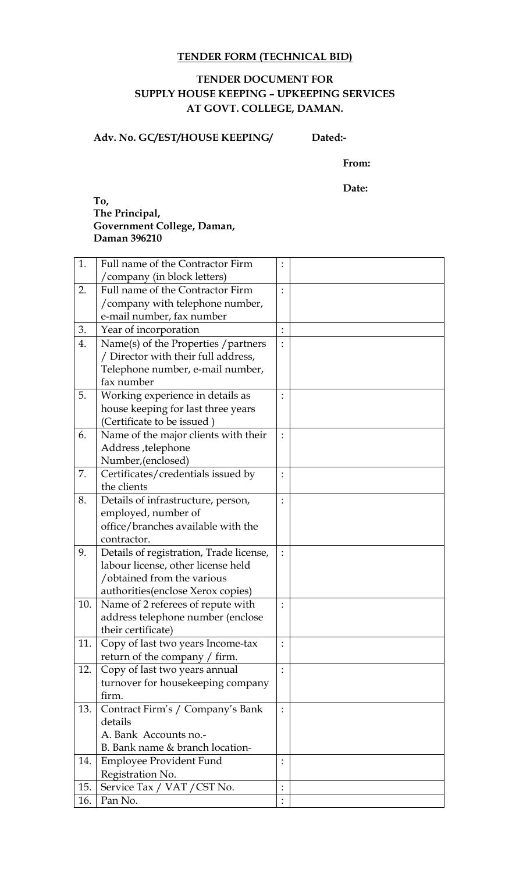## **TENDER FORM (TECHNICAL BID)**

## **TENDER DOCUMENT FOR SUPPLY HOUSE KEEPING – UPKEEPING SERVICES AT GOVT. COLLEGE, DAMAN.**

**Adv. No. GC/EST/HOUSE KEEPING/ Dated:-**

**From:**

**Date:**

#### **To, The Principal, Government College, Daman, Daman 396210**

| 1.  | Full name of the Contractor Firm        | $\ddot{\cdot}$ |  |
|-----|-----------------------------------------|----------------|--|
|     | /company (in block letters)             |                |  |
| 2.  | Full name of the Contractor Firm        |                |  |
|     | /company with telephone number,         |                |  |
|     | e-mail number, fax number               |                |  |
| 3.  | Year of incorporation                   | $\vdots$       |  |
| 4.  | Name(s) of the Properties / partners    | $\ddot{\cdot}$ |  |
|     | / Director with their full address,     |                |  |
|     | Telephone number, e-mail number,        |                |  |
|     | fax number                              |                |  |
| 5.  | Working experience in details as        |                |  |
|     | house keeping for last three years      |                |  |
|     | (Certificate to be issued)              |                |  |
| 6.  | Name of the major clients with their    | $\ddot{\cdot}$ |  |
|     | Address , telephone                     |                |  |
|     | Number, (enclosed)                      |                |  |
| 7.  | Certificates/credentials issued by      | $\ddot{\cdot}$ |  |
|     | the clients                             |                |  |
| 8.  | Details of infrastructure, person,      | $\ddot{\cdot}$ |  |
|     | employed, number of                     |                |  |
|     | office/branches available with the      |                |  |
|     | contractor.                             |                |  |
| 9.  | Details of registration, Trade license, | $\ddot{\cdot}$ |  |
|     | labour license, other license held      |                |  |
|     | /obtained from the various              |                |  |
|     | authorities (enclose Xerox copies)      |                |  |
| 10. | Name of 2 referees of repute with       | $\ddot{\cdot}$ |  |
|     | address telephone number (enclose       |                |  |
|     | their certificate)                      |                |  |
| 11  | Copy of last two years Income-tax       |                |  |
|     | return of the company / firm.           |                |  |
| 12. | Copy of last two years annual           |                |  |
|     | turnover for housekeeping company       |                |  |
|     | firm.                                   |                |  |
| 13. | Contract Firm's / Company's Bank        |                |  |
|     | details                                 |                |  |
|     | A. Bank Accounts no.-                   |                |  |
|     | B. Bank name & branch location-         |                |  |
| 14. | <b>Employee Provident Fund</b>          |                |  |
|     | Registration No.                        |                |  |
| 15. | Service Tax / VAT / CST No.             | $\vdots$       |  |
| 16. | Pan No.                                 |                |  |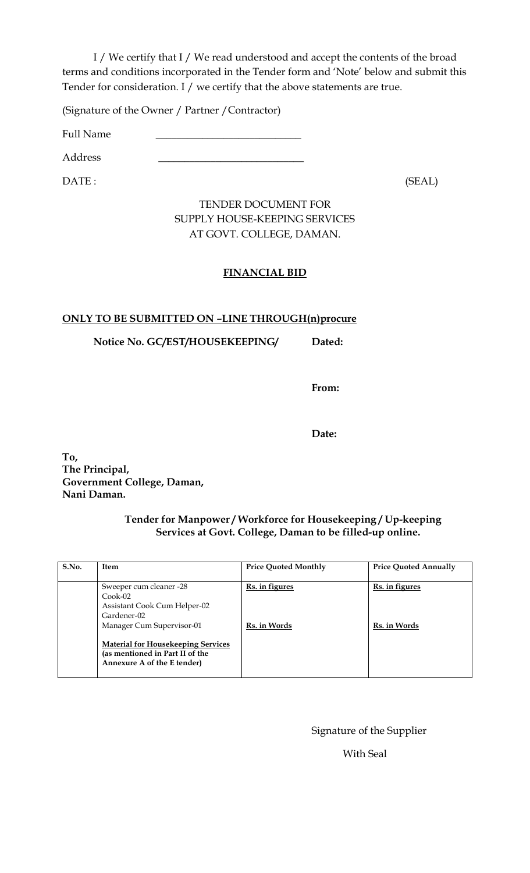I / We certify that I / We read understood and accept the contents of the broad terms and conditions incorporated in the Tender form and 'Note' below and submit this Tender for consideration. I / we certify that the above statements are true.

(Signature of the Owner / Partner /Contractor)

Full Name

Address \_\_\_\_\_\_\_\_\_\_\_\_\_\_\_\_\_\_\_\_\_\_\_\_\_\_\_\_

DATE : (SEAL)

## TENDER DOCUMENT FOR SUPPLY HOUSE-KEEPING SERVICES AT GOVT. COLLEGE, DAMAN.

# **FINANCIAL BID**

## **ONLY TO BE SUBMITTED ON –LINE THROUGH(n)procure**

**Notice No. GC/EST/HOUSEKEEPING/ Dated:**

**From:**

**Date:**

**To, The Principal, Government College, Daman, Nani Daman.**

### **Tender for Manpower / Workforce for Housekeeping / Up-keeping Services at Govt. College, Daman to be filled-up online.**

| S.No. | <b>Item</b>                                                                                                                                                                                                                     | <b>Price Quoted Monthly</b>           | <b>Price Quoted Annually</b>          |
|-------|---------------------------------------------------------------------------------------------------------------------------------------------------------------------------------------------------------------------------------|---------------------------------------|---------------------------------------|
|       | Sweeper cum cleaner -28<br>$Cook-02$<br>Assistant Cook Cum Helper-02<br>Gardener-02<br>Manager Cum Supervisor-01<br><b>Material for Housekeeping Services</b><br>(as mentioned in Part II of the<br>Annexure A of the E tender) | <b>Rs.</b> in figures<br>Rs. in Words | <u>Rs. in figures</u><br>Rs. in Words |

Signature of the Supplier

With Seal